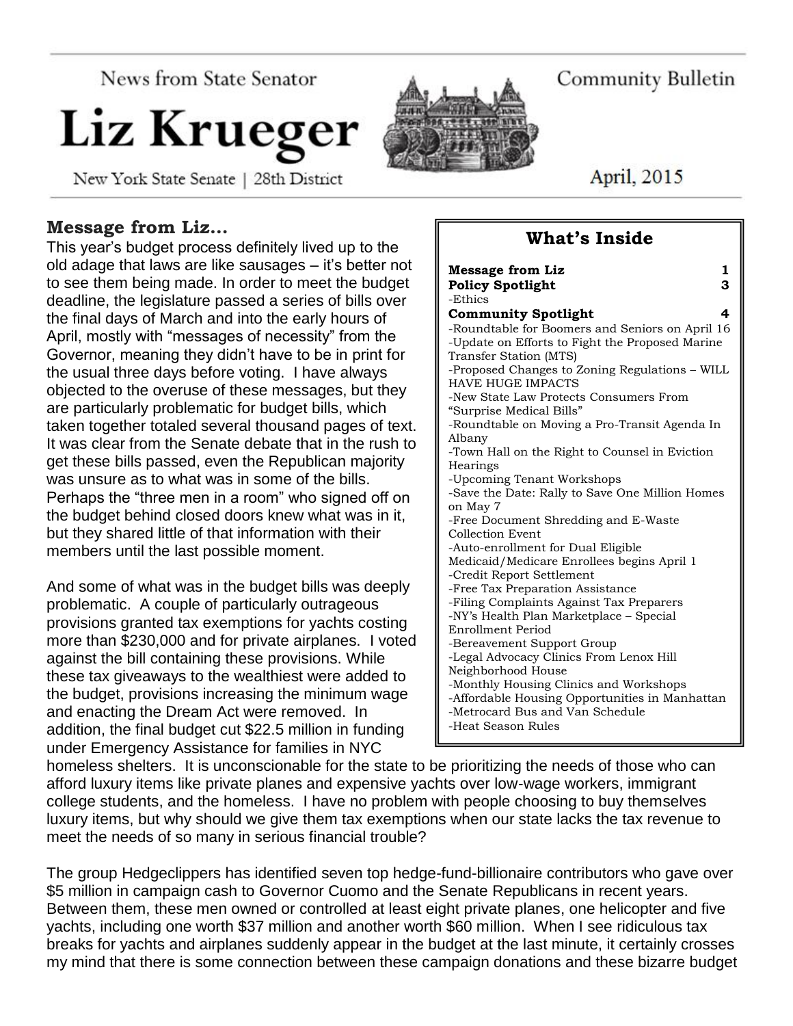News from State Senator

# Liz Krueger

New York State Senate | 28th District

## **Message from Liz…**

This year's budget process definitely lived up to the old adage that laws are like sausages – it's better not to see them being made. In order to meet the budget deadline, the legislature passed a series of bills over the final days of March and into the early hours of April, mostly with "messages of necessity" from the Governor, meaning they didn't have to be in print for the usual three days before voting. I have always objected to the overuse of these messages, but they are particularly problematic for budget bills, which taken together totaled several thousand pages of text. It was clear from the Senate debate that in the rush to get these bills passed, even the Republican majority was unsure as to what was in some of the bills. Perhaps the "three men in a room" who signed off on the budget behind closed doors knew what was in it, but they shared little of that information with their members until the last possible moment.

And some of what was in the budget bills was deeply problematic. A couple of particularly outrageous provisions granted tax exemptions for yachts costing more than \$230,000 and for private airplanes. I voted against the bill containing these provisions. While these tax giveaways to the wealthiest were added to the budget, provisions increasing the minimum wage and enacting the Dream Act were removed. In addition, the final budget cut \$22.5 million in funding under Emergency Assistance for families in NYC

| mcssage nom <i>m</i> z<br>л.<br><b>Policy Spotlight</b><br>З                                                                                                                                                                                                                                                                                                                                                                                                                                                                                                                                                            |
|-------------------------------------------------------------------------------------------------------------------------------------------------------------------------------------------------------------------------------------------------------------------------------------------------------------------------------------------------------------------------------------------------------------------------------------------------------------------------------------------------------------------------------------------------------------------------------------------------------------------------|
|                                                                                                                                                                                                                                                                                                                                                                                                                                                                                                                                                                                                                         |
|                                                                                                                                                                                                                                                                                                                                                                                                                                                                                                                                                                                                                         |
| -Ethics<br><b>Community Spotlight</b><br>4<br>-Roundtable for Boomers and Seniors on April 16<br>-Update on Efforts to Fight the Proposed Marine<br>Transfer Station (MTS)<br>-Proposed Changes to Zoning Regulations - WILL<br><b>HAVE HUGE IMPACTS</b><br>-New State Law Protects Consumers From<br>"Surprise Medical Bills"<br>-Roundtable on Moving a Pro-Transit Agenda In<br>Albany<br>-Town Hall on the Right to Counsel in Eviction<br>Hearings<br>-Upcoming Tenant Workshops<br>-Save the Date: Rally to Save One Million Homes<br>on May 7<br>-Free Document Shredding and E-Waste<br><b>Collection Event</b> |
| -Auto-enrollment for Dual Eligible<br>Medicaid/Medicare Enrollees begins April 1<br>-Credit Report Settlement<br>-Free Tax Preparation Assistance<br>-Filing Complaints Against Tax Preparers<br>-NY's Health Plan Marketplace - Special<br>Enrollment Period<br>-Bereavement Support Group<br>-Legal Advocacy Clinics From Lenox Hill<br>Neighborhood House<br>-Monthly Housing Clinics and Workshops<br>-Affordable Housing Opportunities in Manhattan<br>-Metrocard Bus and Van Schedule<br>-Heat Season Rules                                                                                                       |

homeless shelters. It is unconscionable for the state to be prioritizing the needs of those who can afford luxury items like private planes and expensive yachts over low-wage workers, immigrant college students, and the homeless. I have no problem with people choosing to buy themselves luxury items, but why should we give them tax exemptions when our state lacks the tax revenue to meet the needs of so many in serious financial trouble?

The group Hedgeclippers has identified seven top hedge-fund-billionaire contributors who gave over \$5 million in campaign cash to Governor Cuomo and the Senate Republicans in recent years. Between them, these men owned or controlled at least eight private planes, one helicopter and five yachts, including one worth \$37 million and another worth \$60 million. When I see ridiculous tax breaks for yachts and airplanes suddenly appear in the budget at the last minute, it certainly crosses my mind that there is some connection between these campaign donations and these bizarre budget

Community Bulletin

April, 2015

# **What's Inside**

**Message from Liz 1**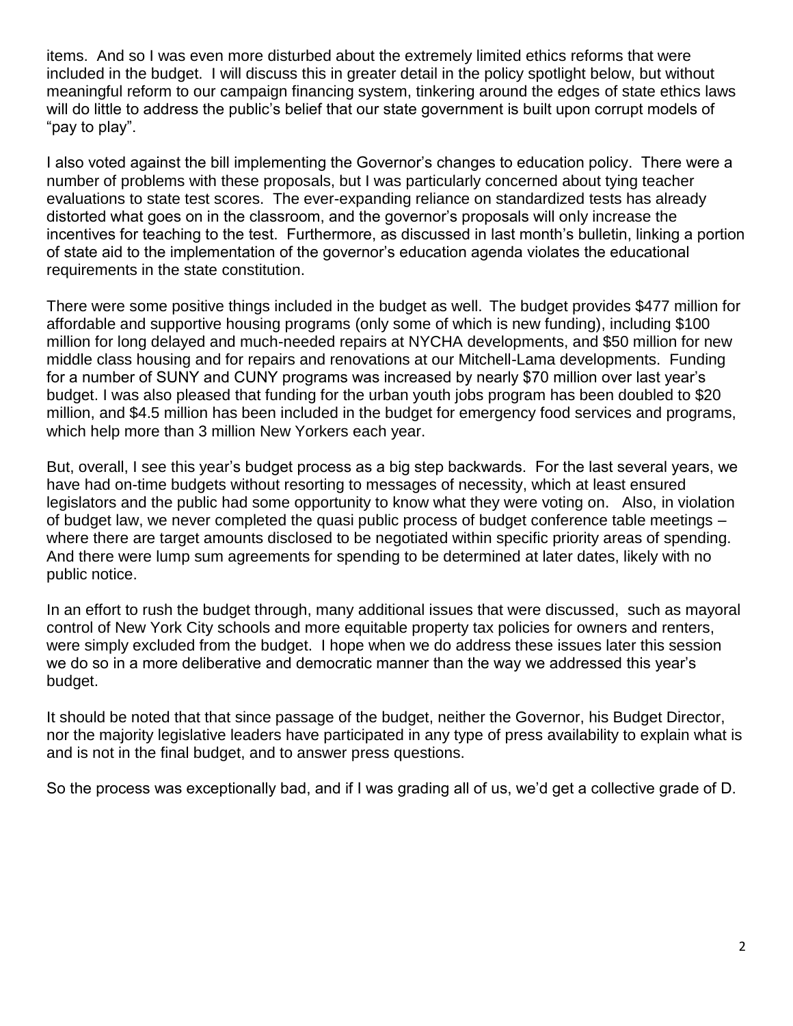items. And so I was even more disturbed about the extremely limited ethics reforms that were included in the budget. I will discuss this in greater detail in the policy spotlight below, but without meaningful reform to our campaign financing system, tinkering around the edges of state ethics laws will do little to address the public's belief that our state government is built upon corrupt models of "pay to play".

I also voted against the bill implementing the Governor's changes to education policy. There were a number of problems with these proposals, but I was particularly concerned about tying teacher evaluations to state test scores. The ever-expanding reliance on standardized tests has already distorted what goes on in the classroom, and the governor's proposals will only increase the incentives for teaching to the test. Furthermore, as discussed in last month's bulletin, linking a portion of state aid to the implementation of the governor's education agenda violates the educational requirements in the state constitution.

There were some positive things included in the budget as well. The budget provides \$477 million for affordable and supportive housing programs (only some of which is new funding), including \$100 million for long delayed and much-needed repairs at NYCHA developments, and \$50 million for new middle class housing and for repairs and renovations at our Mitchell-Lama developments. Funding for a number of SUNY and CUNY programs was increased by nearly \$70 million over last year's budget. I was also pleased that funding for the urban youth jobs program has been doubled to \$20 million, and \$4.5 million has been included in the budget for emergency food services and programs, which help more than 3 million New Yorkers each year.

But, overall, I see this year's budget process as a big step backwards. For the last several years, we have had on-time budgets without resorting to messages of necessity, which at least ensured legislators and the public had some opportunity to know what they were voting on. Also, in violation of budget law, we never completed the quasi public process of budget conference table meetings – where there are target amounts disclosed to be negotiated within specific priority areas of spending. And there were lump sum agreements for spending to be determined at later dates, likely with no public notice.

In an effort to rush the budget through, many additional issues that were discussed, such as mayoral control of New York City schools and more equitable property tax policies for owners and renters, were simply excluded from the budget. I hope when we do address these issues later this session we do so in a more deliberative and democratic manner than the way we addressed this year's budget.

It should be noted that that since passage of the budget, neither the Governor, his Budget Director, nor the majority legislative leaders have participated in any type of press availability to explain what is and is not in the final budget, and to answer press questions.

So the process was exceptionally bad, and if I was grading all of us, we'd get a collective grade of D.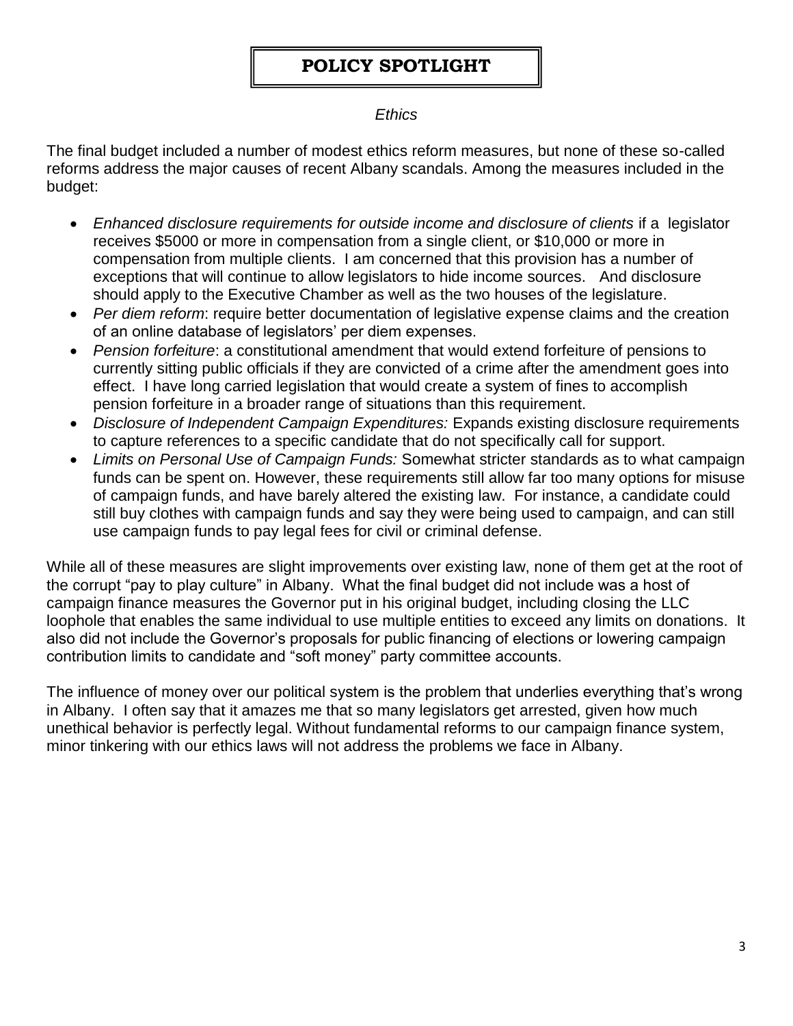# **POLICY SPOTLIGHT**

#### *Ethics*

The final budget included a number of modest ethics reform measures, but none of these so-called reforms address the major causes of recent Albany scandals. Among the measures included in the budget:

- *Enhanced disclosure requirements for outside income and disclosure of clients* if a legislator receives \$5000 or more in compensation from a single client, or \$10,000 or more in compensation from multiple clients. I am concerned that this provision has a number of exceptions that will continue to allow legislators to hide income sources. And disclosure should apply to the Executive Chamber as well as the two houses of the legislature.
- *Per diem reform*: require better documentation of legislative expense claims and the creation of an online database of legislators' per diem expenses.
- *Pension forfeiture*: a constitutional amendment that would extend forfeiture of pensions to currently sitting public officials if they are convicted of a crime after the amendment goes into effect. I have long carried legislation that would create a system of fines to accomplish pension forfeiture in a broader range of situations than this requirement.
- *Disclosure of Independent Campaign Expenditures:* Expands existing disclosure requirements to capture references to a specific candidate that do not specifically call for support.
- *Limits on Personal Use of Campaign Funds:* Somewhat stricter standards as to what campaign funds can be spent on. However, these requirements still allow far too many options for misuse of campaign funds, and have barely altered the existing law. For instance, a candidate could still buy clothes with campaign funds and say they were being used to campaign, and can still use campaign funds to pay legal fees for civil or criminal defense.

While all of these measures are slight improvements over existing law, none of them get at the root of the corrupt "pay to play culture" in Albany. What the final budget did not include was a host of campaign finance measures the Governor put in his original budget, including closing the LLC loophole that enables the same individual to use multiple entities to exceed any limits on donations. It also did not include the Governor's proposals for public financing of elections or lowering campaign contribution limits to candidate and "soft money" party committee accounts.

The influence of money over our political system is the problem that underlies everything that's wrong in Albany. I often say that it amazes me that so many legislators get arrested, given how much unethical behavior is perfectly legal. Without fundamental reforms to our campaign finance system, minor tinkering with our ethics laws will not address the problems we face in Albany.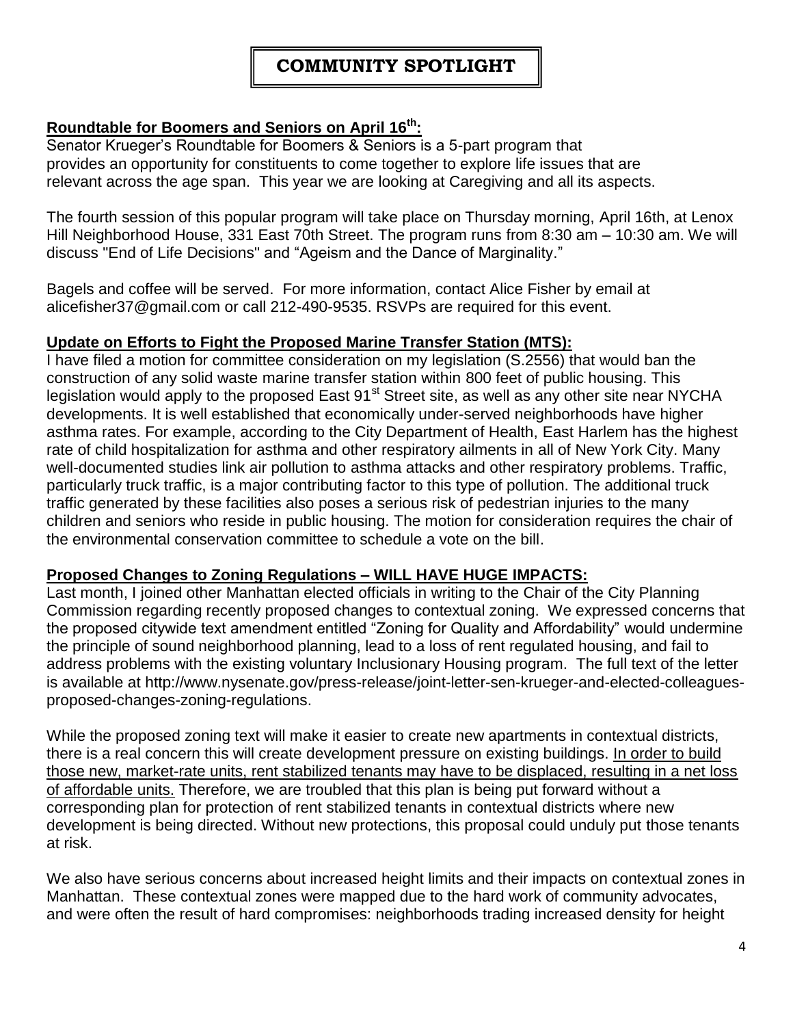## **Roundtable for Boomers and Seniors on April 16 th:**

Senator Krueger's Roundtable for Boomers & Seniors is a 5-part program that provides an opportunity for constituents to come together to explore life issues that are relevant across the age span. This year we are looking at Caregiving and all its aspects.

The fourth session of this popular program will take place on Thursday morning, April 16th, at Lenox Hill Neighborhood House, 331 East 70th Street. The program runs from 8:30 am – 10:30 am. We will discuss "End of Life Decisions" and "Ageism and the Dance of Marginality."

Bagels and coffee will be served. For more information, contact Alice Fisher by email at alicefisher37@gmail.com or call 212-490-9535. RSVPs are required for this event.

#### **Update on Efforts to Fight the Proposed Marine Transfer Station (MTS):**

I have filed a motion for committee consideration on my legislation (S.2556) that would ban the construction of any solid waste marine transfer station within 800 feet of public housing. This legislation would apply to the proposed East 91<sup>st</sup> Street site, as well as any other site near NYCHA developments. It is well established that economically under-served neighborhoods have higher asthma rates. For example, according to the City Department of Health, East Harlem has the highest rate of child hospitalization for asthma and other respiratory ailments in all of New York City. Many well-documented studies link air pollution to asthma attacks and other respiratory problems. Traffic, particularly truck traffic, is a major contributing factor to this type of pollution. The additional truck traffic generated by these facilities also poses a serious risk of pedestrian injuries to the many children and seniors who reside in public housing. The motion for consideration requires the chair of the environmental conservation committee to schedule a vote on the bill.

#### **Proposed Changes to Zoning Regulations – WILL HAVE HUGE IMPACTS:**

Last month, I joined other Manhattan elected officials in writing to the Chair of the City Planning Commission regarding recently proposed changes to contextual zoning. We expressed concerns that the proposed citywide text amendment entitled "Zoning for Quality and Affordability" would undermine the principle of sound neighborhood planning, lead to a loss of rent regulated housing, and fail to address problems with the existing voluntary Inclusionary Housing program. The full text of the letter is available at http://www.nysenate.gov/press-release/joint-letter-sen-krueger-and-elected-colleaguesproposed-changes-zoning-regulations.

While the proposed zoning text will make it easier to create new apartments in contextual districts, there is a real concern this will create development pressure on existing buildings. In order to build those new, market-rate units, rent stabilized tenants may have to be displaced, resulting in a net loss of affordable units. Therefore, we are troubled that this plan is being put forward without a corresponding plan for protection of rent stabilized tenants in contextual districts where new development is being directed. Without new protections, this proposal could unduly put those tenants at risk.

We also have serious concerns about increased height limits and their impacts on contextual zones in Manhattan. These contextual zones were mapped due to the hard work of community advocates, and were often the result of hard compromises: neighborhoods trading increased density for height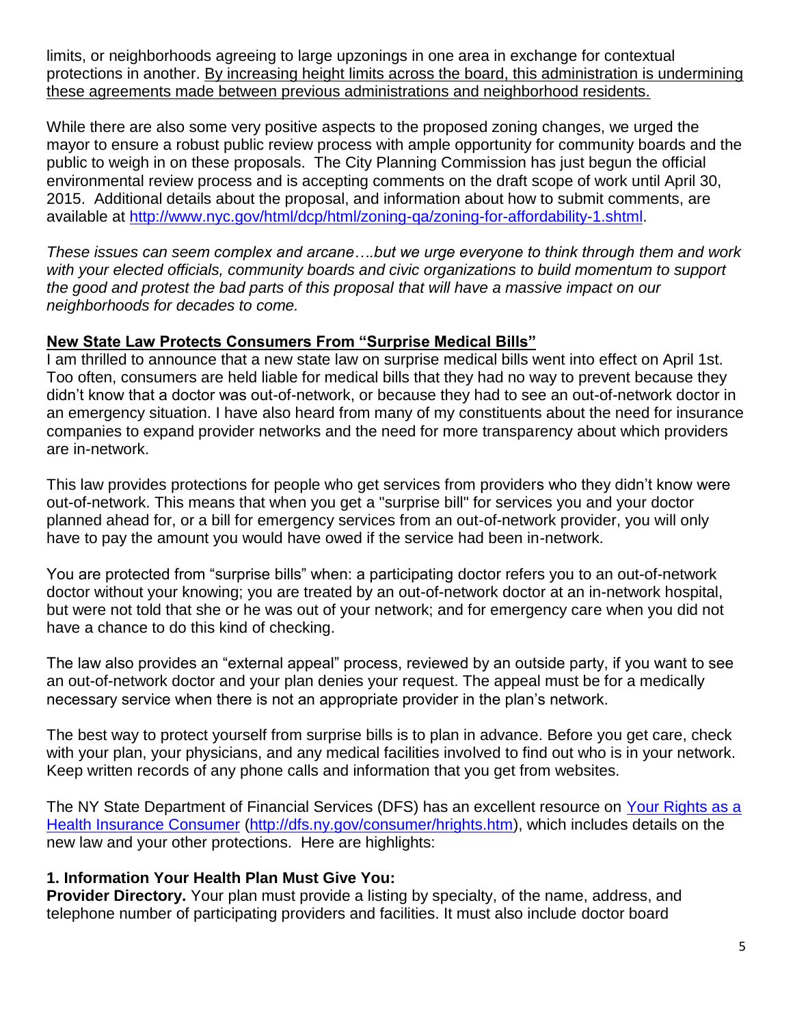limits, or neighborhoods agreeing to large upzonings in one area in exchange for contextual protections in another. By increasing height limits across the board, this administration is undermining these agreements made between previous administrations and neighborhood residents.

While there are also some very positive aspects to the proposed zoning changes, we urged the mayor to ensure a robust public review process with ample opportunity for community boards and the public to weigh in on these proposals. The City Planning Commission has just begun the official environmental review process and is accepting comments on the draft scope of work until April 30, 2015. Additional details about the proposal, and information about how to submit comments, are available at [http://www.nyc.gov/html/dcp/html/zoning-qa/zoning-for-affordability-1.shtml.](http://www.nyc.gov/html/dcp/html/zoning-qa/zoning-for-affordability-1.shtml)

*These issues can seem complex and arcane….but we urge everyone to think through them and work with your elected officials, community boards and civic organizations to build momentum to support the good and protest the bad parts of this proposal that will have a massive impact on our neighborhoods for decades to come.*

#### **New State Law Protects Consumers From "Surprise Medical Bills"**

I am thrilled to announce that a new state law on surprise medical bills went into effect on April 1st. Too often, consumers are held liable for medical bills that they had no way to prevent because they didn't know that a doctor was out-of-network, or because they had to see an out-of-network doctor in an emergency situation. I have also heard from many of my constituents about the need for insurance companies to expand provider networks and the need for more transparency about which providers are in-network.

This law provides protections for people who get services from providers who they didn't know were out-of-network. This means that when you get a "surprise bill" for services you and your doctor planned ahead for, or a bill for emergency services from an out-of-network provider, you will only have to pay the amount you would have owed if the service had been in-network.

You are protected from "surprise bills" when: a participating doctor refers you to an out-of-network doctor without your knowing; you are treated by an out-of-network doctor at an in-network hospital, but were not told that she or he was out of your network; and for emergency care when you did not have a chance to do this kind of checking.

The law also provides an "external appeal" process, reviewed by an outside party, if you want to see an out-of-network doctor and your plan denies your request. The appeal must be for a medically necessary service when there is not an appropriate provider in the plan's network.

The best way to protect yourself from surprise bills is to plan in advance. Before you get care, check with your plan, your physicians, and any medical facilities involved to find out who is in your network. Keep written records of any phone calls and information that you get from websites.

The NY State Department of Financial Services (DFS) has an excellent resource on [Your Rights as a](http://dfs.ny.gov/consumer/hrights.htm)  [Health Insurance Consumer](http://dfs.ny.gov/consumer/hrights.htm) [\(http://dfs.ny.gov/consumer/hrights.htm\)](http://dfs.ny.gov/consumer/hrights.htm), which includes details on the new law and your other protections. Here are highlights:

#### **1. Information Your Health Plan Must Give You:**

**Provider Directory.** Your plan must provide a listing by specialty, of the name, address, and telephone number of participating providers and facilities. It must also include doctor board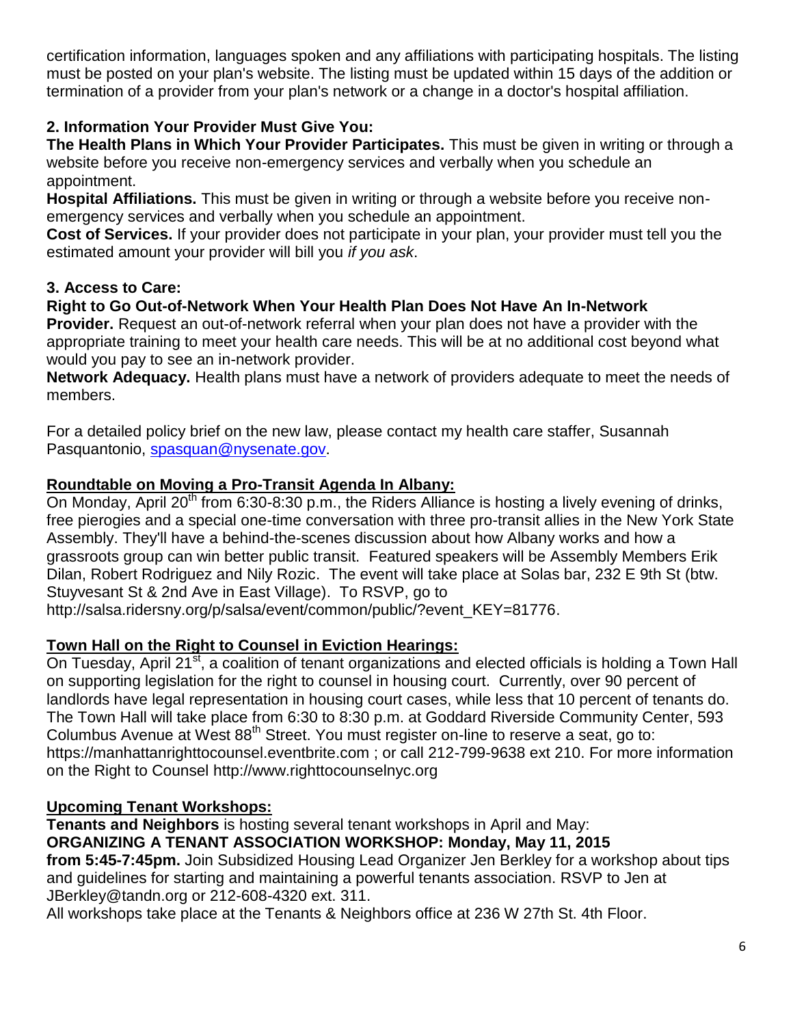certification information, languages spoken and any affiliations with participating hospitals. The listing must be posted on your plan's website. The listing must be updated within 15 days of the addition or termination of a provider from your plan's network or a change in a doctor's hospital affiliation.

## **2. Information Your Provider Must Give You:**

**The Health Plans in Which Your Provider Participates.** This must be given in writing or through a website before you receive non-emergency services and verbally when you schedule an appointment.

**Hospital Affiliations.** This must be given in writing or through a website before you receive nonemergency services and verbally when you schedule an appointment.

**Cost of Services.** If your provider does not participate in your plan, your provider must tell you the estimated amount your provider will bill you *if you ask*.

## **3. Access to Care:**

## **Right to Go Out-of-Network When Your Health Plan Does Not Have An In-Network**

**Provider.** Request an out-of-network referral when your plan does not have a provider with the appropriate training to meet your health care needs. This will be at no additional cost beyond what would you pay to see an in-network provider.

**Network Adequacy.** Health plans must have a network of providers adequate to meet the needs of members.

For a detailed policy brief on the new law, please contact my health care staffer, Susannah Pasquantonio, [spasquan@nysenate.gov.](mailto:spasquan@nysenate.gov)

## **Roundtable on Moving a Pro-Transit Agenda In Albany:**

On Monday, April 20<sup>th</sup> from 6:30-8:30 p.m., the Riders Alliance is hosting a lively evening of drinks, free pierogies and a special one-time conversation with three pro-transit allies in the New York State Assembly. They'll have a behind-the-scenes discussion about how Albany works and how a grassroots group can win better public transit. Featured speakers will be Assembly Members Erik Dilan, Robert Rodriguez and Nily Rozic. The event will take place at Solas bar, 232 E 9th St (btw. Stuyvesant St & 2nd Ave in East Village). To RSVP, go to

http://salsa.ridersny.org/p/salsa/event/common/public/?event\_KEY=81776.

## **Town Hall on the Right to Counsel in Eviction Hearings:**

On Tuesday, April 21<sup>st</sup>, a coalition of tenant organizations and elected officials is holding a Town Hall on supporting legislation for the right to counsel in housing court. Currently, over 90 percent of landlords have legal representation in housing court cases, while less that 10 percent of tenants do. The Town Hall will take place from 6:30 to 8:30 p.m. at Goddard Riverside Community Center, 593 Columbus Avenue at West  $88<sup>th</sup>$  Street. You must register on-line to reserve a seat, go to: https://manhattanrighttocounsel.eventbrite.com ; or call 212-799-9638 ext 210. For more information on the Right to Counsel http://www.righttocounselnyc.org

## **Upcoming Tenant Workshops:**

**Tenants and Neighbors** is hosting several tenant workshops in April and May: **ORGANIZING A TENANT ASSOCIATION WORKSHOP: Monday, May 11, 2015 from 5:45-7:45pm.** Join Subsidized Housing Lead Organizer Jen Berkley for a workshop about tips and guidelines for starting and maintaining a powerful tenants association. RSVP to Jen at JBerkley@tandn.org or 212-608-4320 ext. 311.

All workshops take place at the Tenants & Neighbors office at 236 W 27th St. 4th Floor.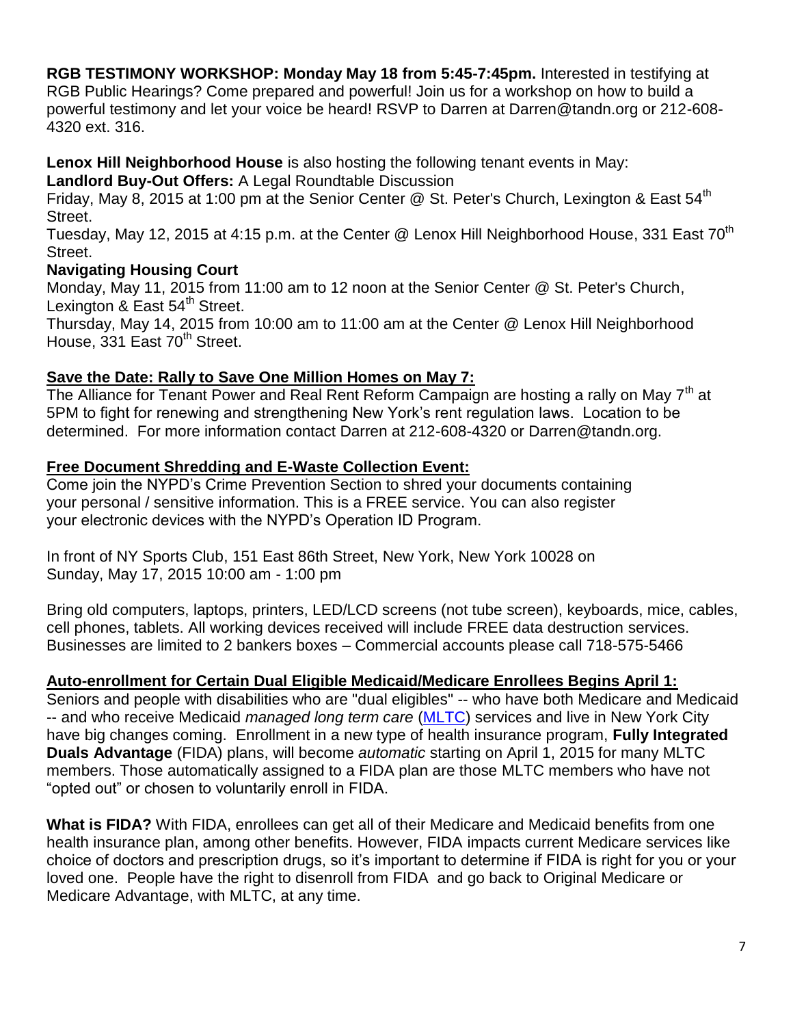**RGB TESTIMONY WORKSHOP: Monday May 18 from 5:45-7:45pm.** Interested in testifying at RGB Public Hearings? Come prepared and powerful! Join us for a workshop on how to build a powerful testimony and let your voice be heard! RSVP to Darren at Darren@tandn.org or 212-608- 4320 ext. 316.

**Lenox Hill Neighborhood House** is also hosting the following tenant events in May:

**Landlord Buy-Out Offers:** A Legal Roundtable Discussion

Friday, May 8, 2015 at 1:00 pm at the Senior Center @ St. Peter's Church, Lexington & East  $54^{\text{th}}$ Street.

Tuesday, May 12, 2015 at 4:15 p.m. at the Center @ Lenox Hill Neighborhood House, 331 East 70<sup>th</sup> Street.

## **Navigating Housing Court**

Monday, May 11, 2015 from 11:00 am to 12 noon at the Senior Center @ St. Peter's Church, Lexington & East 54<sup>th</sup> Street.

Thursday, May 14, 2015 from 10:00 am to 11:00 am at the Center @ Lenox Hill Neighborhood House, 331 East 70<sup>th</sup> Street.

## **Save the Date: Rally to Save One Million Homes on May 7:**

The Alliance for Tenant Power and Real Rent Reform Campaign are hosting a rally on May  $7<sup>th</sup>$  at 5PM to fight for renewing and strengthening New York's rent regulation laws. Location to be determined. For more information contact Darren at 212-608-4320 or Darren@tandn.org.

## **Free Document Shredding and E-Waste Collection Event:**

Come join the NYPD's Crime Prevention Section to shred your documents containing your personal / sensitive information. This is a FREE service. You can also register your electronic devices with the NYPD's Operation ID Program.

In front of NY Sports Club, 151 East 86th Street, New York, New York 10028 on Sunday, May 17, 2015 10:00 am - 1:00 pm

Bring old computers, laptops, printers, LED/LCD screens (not tube screen), keyboards, mice, cables, cell phones, tablets. All working devices received will include FREE data destruction services. Businesses are limited to 2 bankers boxes – Commercial accounts please call 718-575-5466

## **Auto-enrollment for Certain Dual Eligible Medicaid/Medicare Enrollees Begins April 1:**

Seniors and people with disabilities who are "dual eligibles" -- who have both Medicare and Medicaid -- and who receive Medicaid *managed long term care* [\(MLTC\)](http://volsprobono.us8.list-manage2.com/track/click?u=0aab3390118b1d06919e22858&id=ec995f1f0c&e=e2cdf730f8) services and live in New York City have big changes coming. Enrollment in a new type of health insurance program, **Fully Integrated Duals Advantage** (FIDA) plans, will become *automatic* starting on April 1, 2015 for many MLTC members. Those automatically assigned to a FIDA plan are those MLTC members who have not "opted out" or chosen to voluntarily enroll in FIDA.

**What is FIDA?** With FIDA, enrollees can get all of their Medicare and Medicaid benefits from one health insurance plan, among other benefits. However, FIDA impacts current Medicare services like choice of doctors and prescription drugs, so it's important to determine if FIDA is right for you or your loved one. People have the right to disenroll from FIDA and go back to Original Medicare or Medicare Advantage, with MLTC, at any time.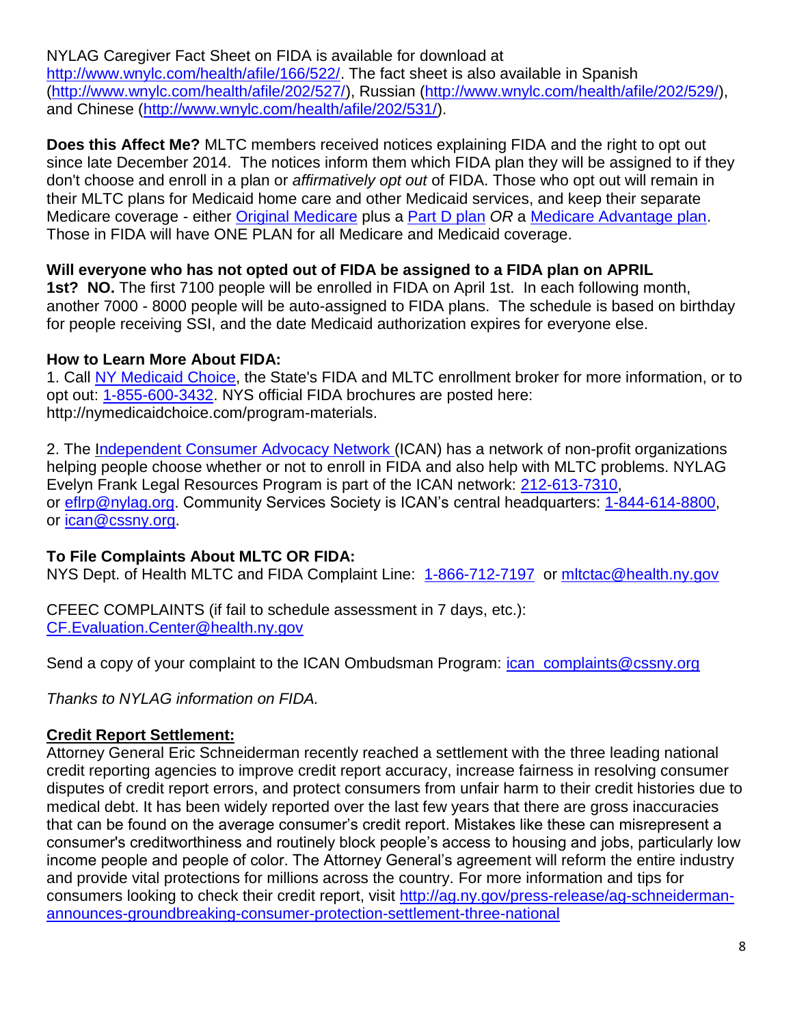NYLAG Caregiver Fact Sheet on FIDA is available for download at [http://www.wnylc.com/health/afile/166/522/.](http://www.wnylc.com/health/afile/166/522/) The fact sheet is also available in Spanish [\(http://www.wnylc.com/health/afile/202/527/\)](http://www.wnylc.com/health/afile/202/527/), Russian [\(http://www.wnylc.com/health/afile/202/529/\)](http://www.wnylc.com/health/afile/202/529/), and Chinese [\(http://www.wnylc.com/health/afile/202/531/\)](http://www.wnylc.com/health/afile/202/531/).

**Does this Affect Me?** MLTC members received notices explaining FIDA and the right to opt out since late December 2014. The notices inform them which FIDA plan they will be assigned to if they don't choose and enroll in a plan or *affirmatively opt out* of FIDA. Those who opt out will remain in their MLTC plans for Medicaid home care and other Medicaid services, and keep their separate Medicare coverage - either [Original Medicare](http://volsprobono.us8.list-manage.com/track/click?u=0aab3390118b1d06919e22858&id=b94f8d2a9b&e=e2cdf730f8) plus a [Part D plan](http://volsprobono.us8.list-manage.com/track/click?u=0aab3390118b1d06919e22858&id=8dc811ef40&e=e2cdf730f8) *OR* a [Medicare Advantage plan.](http://volsprobono.us8.list-manage2.com/track/click?u=0aab3390118b1d06919e22858&id=700493ab7d&e=e2cdf730f8) Those in FIDA will have ONE PLAN for all Medicare and Medicaid coverage.

## **Will everyone who has not opted out of FIDA be assigned to a FIDA plan on APRIL**

**1st? NO.** The first 7100 people will be enrolled in FIDA on April 1st. In each following month, another 7000 - 8000 people will be auto-assigned to FIDA plans. The schedule is based on birthday for people receiving SSI, and the date Medicaid authorization expires for everyone else.

#### **How to Learn More About FIDA:**

1. Call [NY Medicaid Choice,](http://www.nymedicaidchoice.com/) the State's FIDA and MLTC enrollment broker for more information, or to opt out: [1-855-600-3432.](tel:1-855-600-3432) NYS official FIDA brochures are posted here: http://nymedicaidchoice.com/program-materials.

2. The [Independent Consumer Advocacy Network](http://volsprobono.us8.list-manage.com/track/click?u=0aab3390118b1d06919e22858&id=3bd7ebdd9f&e=e2cdf730f8) (ICAN) has a network of non-profit organizations helping people choose whether or not to enroll in FIDA and also help with MLTC problems. NYLAG Evelyn Frank Legal Resources Program is part of the ICAN network: [212-613-7310,](mailto:212-613-7310) or eftrp@nylag.org. Community Services Society is ICAN's central headquarters: [1-844-614-8800,](tel:1-844-614-8800) or [ican@cssny.org.](mailto:ican@cssny.org)

## **To File Complaints About MLTC OR FIDA:**

NYS Dept. of Health MLTC and FIDA Complaint Line: [1-866-712-7197](tel:1-866-712-7197) or mitctac@health.ny.gov

CFEEC COMPLAINTS (if fail to schedule assessment in 7 days, etc.): [CF.Evaluation.Center@health.ny.gov](mailto:CF.Evaluation.Center@health.ny.gov)

Send a copy of your complaint to the ICAN Ombudsman Program: *ican complaints@cssny.org* 

*Thanks to NYLAG information on FIDA.*

## **Credit Report Settlement:**

Attorney General Eric Schneiderman recently reached a settlement with the three leading national credit reporting agencies to improve credit report accuracy, increase fairness in resolving consumer disputes of credit report errors, and protect consumers from unfair harm to their credit histories due to medical debt. It has been widely reported over the last few years that there are gross inaccuracies that can be found on the average consumer's credit report. Mistakes like these can misrepresent a consumer's creditworthiness and routinely block people's access to housing and jobs, particularly low income people and people of color. The Attorney General's agreement will reform the entire industry and provide vital protections for millions across the country. For more information and tips for consumers looking to check their credit report, visit [http://ag.ny.gov/press-release/ag-schneiderman](http://ag.ny.gov/press-release/ag-schneiderman-announces-groundbreaking-consumer-protection-settlement-three-national)[announces-groundbreaking-consumer-protection-settlement-three-national](http://ag.ny.gov/press-release/ag-schneiderman-announces-groundbreaking-consumer-protection-settlement-three-national)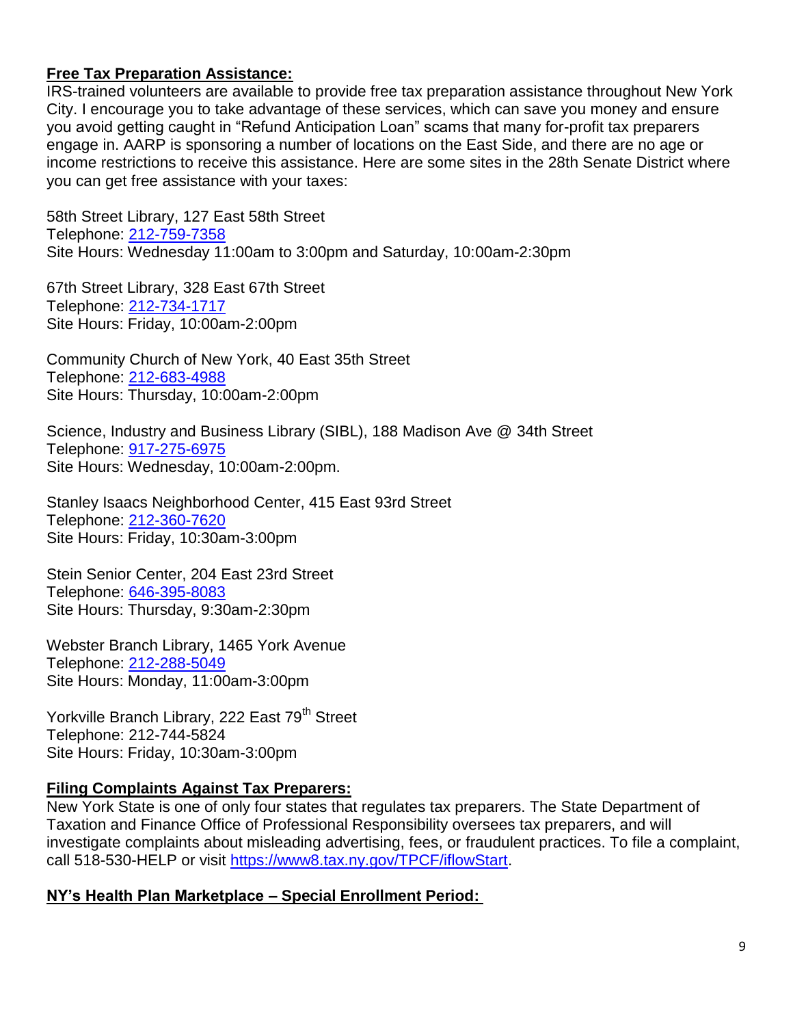#### **Free Tax Preparation Assistance:**

IRS-trained volunteers are available to provide free tax preparation assistance throughout New York City. I encourage you to take advantage of these services, which can save you money and ensure you avoid getting caught in "Refund Anticipation Loan" scams that many for-profit tax preparers engage in. AARP is sponsoring a number of locations on the East Side, and there are no age or income restrictions to receive this assistance. Here are some sites in the 28th Senate District where you can get free assistance with your taxes:

58th Street Library, 127 East 58th Street Telephone: [212-759-7358](tel:212-759-7358) Site Hours: Wednesday 11:00am to 3:00pm and Saturday, 10:00am-2:30pm

67th Street Library, 328 East 67th Street Telephone: [212-734-1717](tel:212-734-1717) Site Hours: Friday, 10:00am-2:00pm

Community Church of New York, 40 East 35th Street Telephone: [212-683-4988](tel:212-683-4988) Site Hours: Thursday, 10:00am-2:00pm

Science, Industry and Business Library (SIBL), 188 Madison Ave @ 34th Street Telephone: 917-275-6975 Site Hours: Wednesday, 10:00am-2:00pm.

Stanley Isaacs Neighborhood Center, 415 East 93rd Street Telephone: [212-360-7620](tel:212-360-7620) Site Hours: Friday, 10:30am-3:00pm

Stein Senior Center, 204 East 23rd Street Telephone: [646-395-8083](tel:646-395-8083) Site Hours: Thursday, 9:30am-2:30pm

Webster Branch Library, 1465 York Avenue Telephone: [212-288-5049](tel:212-288-5049) Site Hours: Monday, 11:00am-3:00pm

Yorkville Branch Library, 222 East 79<sup>th</sup> Street Telephone: 212-744-5824 Site Hours: Friday, 10:30am-3:00pm

#### **Filing Complaints Against Tax Preparers:**

New York State is one of only four states that regulates tax preparers. The State Department of Taxation and Finance Office of Professional Responsibility oversees tax preparers, and will investigate complaints about misleading advertising, fees, or fraudulent practices. To file a complaint, call 518-530-HELP or visit [https://www8.tax.ny.gov/TPCF/iflowStart.](https://www8.tax.ny.gov/TPCF/iflowStart)

#### **NY's Health Plan Marketplace – Special Enrollment Period:**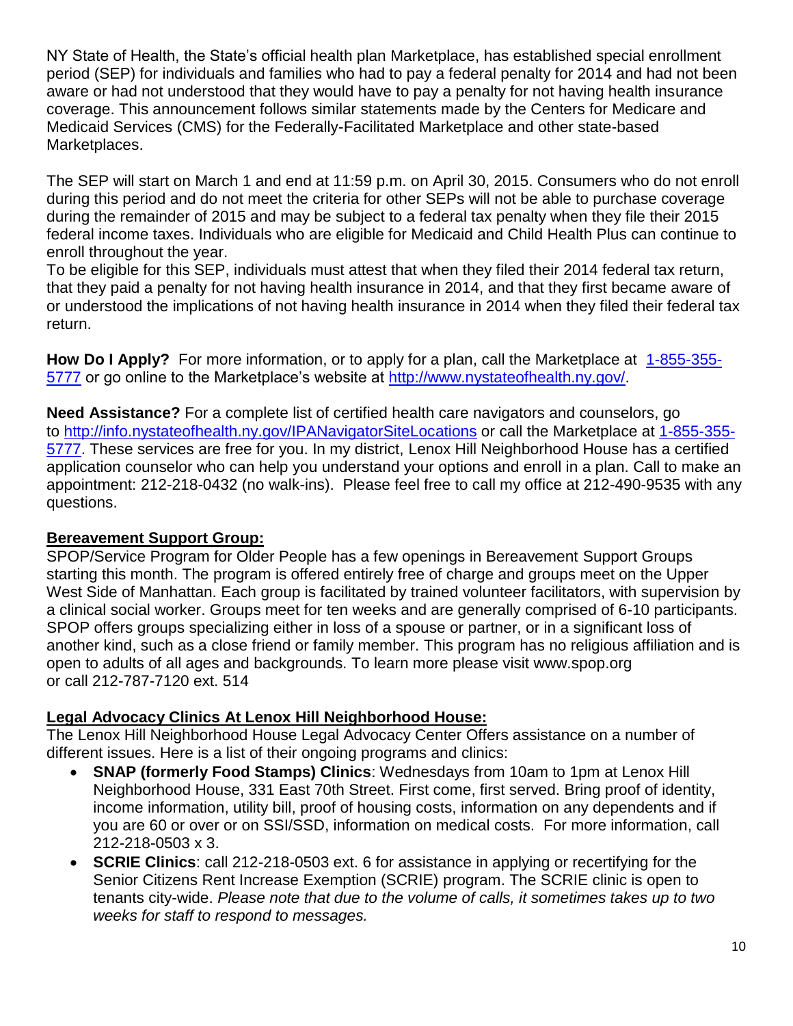NY State of Health, the State's official health plan Marketplace, has established special enrollment period (SEP) for individuals and families who had to pay a federal penalty for 2014 and had not been aware or had not understood that they would have to pay a penalty for not having health insurance coverage. This announcement follows similar statements made by the Centers for Medicare and Medicaid Services (CMS) for the Federally-Facilitated Marketplace and other state-based Marketplaces.

The SEP will start on March 1 and end at 11:59 p.m. on April 30, 2015. Consumers who do not enroll during this period and do not meet the criteria for other SEPs will not be able to purchase coverage during the remainder of 2015 and may be subject to a federal tax penalty when they file their 2015 federal income taxes. Individuals who are eligible for Medicaid and Child Health Plus can continue to enroll throughout the year.

To be eligible for this SEP, individuals must attest that when they filed their 2014 federal tax return, that they paid a penalty for not having health insurance in 2014, and that they first became aware of or understood the implications of not having health insurance in 2014 when they filed their federal tax return.

**How Do I Apply?** For more information, or to apply for a plan, call the Marketplace at [1-855-355-](tel:1-855-355-5777) [5777](tel:1-855-355-5777) or go online to the Marketplace's website at [http://www.nystateofhealth.ny.gov/.](http://www.nystateofhealth.ny.gov/)

**Need Assistance?** For a complete list of certified health care navigators and counselors, go to <http://info.nystateofhealth.ny.gov/IPANavigatorSiteLocations> or call the Marketplace at [1-855-355-](tel:1-855-355-5777) [5777.](tel:1-855-355-5777) These services are free for you. In my district, Lenox Hill Neighborhood House has a certified application counselor who can help you understand your options and enroll in a plan. Call to make an appointment: 212-218-0432 (no walk-ins). Please feel free to call my office at 212-490-9535 with any questions.

#### **Bereavement Support Group:**

SPOP/Service Program for Older People has a few openings in Bereavement Support Groups starting this month. The program is offered entirely free of charge and groups meet on the Upper West Side of Manhattan. Each group is facilitated by trained volunteer facilitators, with supervision by a clinical social worker. Groups meet for ten weeks and are generally comprised of 6-10 participants. SPOP offers groups specializing either in loss of a spouse or partner, or in a significant loss of another kind, such as a close friend or family member. This program has no religious affiliation and is open to adults of all ages and backgrounds. To learn more please visit www.spop.org or call 212-787-7120 ext. 514

#### **Legal Advocacy Clinics At Lenox Hill Neighborhood House:**

The Lenox Hill Neighborhood House Legal Advocacy Center Offers assistance on a number of different issues. Here is a list of their ongoing programs and clinics:

- **SNAP (formerly Food Stamps) Clinics**: Wednesdays from 10am to 1pm at Lenox Hill Neighborhood House, 331 East 70th Street. First come, first served. Bring proof of identity, income information, utility bill, proof of housing costs, information on any dependents and if you are 60 or over or on SSI/SSD, information on medical costs. For more information, call 212-218-0503 x 3.
- **SCRIE Clinics**: call 212-218-0503 ext. 6 for assistance in applying or recertifying for the Senior Citizens Rent Increase Exemption (SCRIE) program. The SCRIE clinic is open to tenants city-wide. *Please note that due to the volume of calls, it sometimes takes up to two weeks for staff to respond to messages.*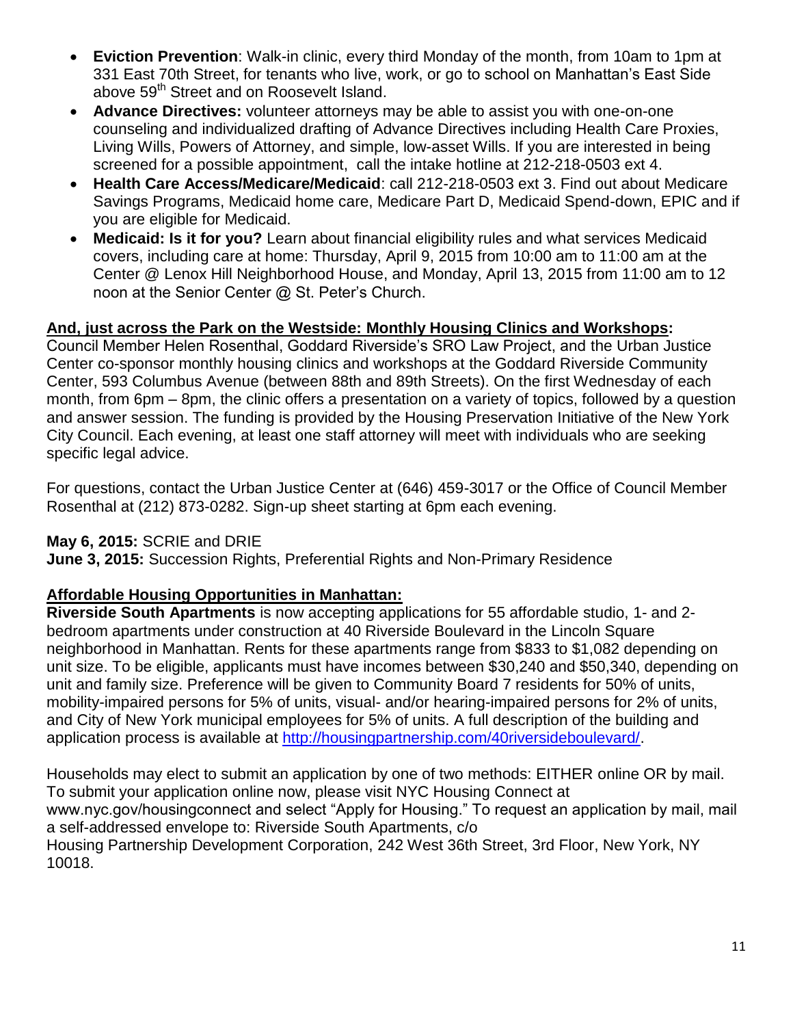- **Eviction Prevention**: Walk-in clinic, every third Monday of the month, from 10am to 1pm at 331 East 70th Street, for tenants who live, work, or go to school on Manhattan's East Side above 59<sup>th</sup> Street and on Roosevelt Island.
- **Advance Directives:** volunteer attorneys may be able to assist you with one-on-one counseling and individualized drafting of Advance Directives including Health Care Proxies, Living Wills, Powers of Attorney, and simple, low-asset Wills. If you are interested in being screened for a possible appointment, call the intake hotline at 212-218-0503 ext 4.
- **Health Care Access/Medicare/Medicaid**: call 212-218-0503 ext 3. Find out about Medicare Savings Programs, Medicaid home care, Medicare Part D, Medicaid Spend-down, EPIC and if you are eligible for Medicaid.
- **Medicaid: Is it for you?** Learn about financial eligibility rules and what services Medicaid covers, including care at home: Thursday, April 9, 2015 from 10:00 am to 11:00 am at the Center @ Lenox Hill Neighborhood House, and Monday, April 13, 2015 from 11:00 am to 12 noon at the Senior Center @ St. Peter's Church.

## **And, just across the Park on the Westside: Monthly Housing Clinics and Workshops:**

Council Member Helen Rosenthal, Goddard Riverside's SRO Law Project, and the Urban Justice Center co-sponsor monthly housing clinics and workshops at the Goddard Riverside Community Center, 593 Columbus Avenue (between 88th and 89th Streets). On the first Wednesday of each month, from 6pm – 8pm, the clinic offers a presentation on a variety of topics, followed by a question and answer session. The funding is provided by the Housing Preservation Initiative of the New York City Council. Each evening, at least one staff attorney will meet with individuals who are seeking specific legal advice.

For questions, contact the Urban Justice Center at (646) 459-3017 or the Office of Council Member Rosenthal at (212) 873-0282. Sign-up sheet starting at 6pm each evening.

#### **May 6, 2015:** SCRIE and DRIE

**June 3, 2015:** Succession Rights, Preferential Rights and Non-Primary Residence

#### **Affordable Housing Opportunities in Manhattan:**

**Riverside South Apartments** is now accepting applications for 55 affordable studio, 1- and 2 bedroom apartments under construction at 40 Riverside Boulevard in the Lincoln Square neighborhood in Manhattan. Rents for these apartments range from \$833 to \$1,082 depending on unit size. To be eligible, applicants must have incomes between \$30,240 and \$50,340, depending on unit and family size. Preference will be given to Community Board 7 residents for 50% of units, mobility-impaired persons for 5% of units, visual- and/or hearing-impaired persons for 2% of units, and City of New York municipal employees for 5% of units. A full description of the building and application process is available at [http://housingpartnership.com/40riversideboulevard/.](http://housingpartnership.com/40riversideboulevard/)

Households may elect to submit an application by one of two methods: EITHER online OR by mail. To submit your application online now, please visit NYC Housing Connect at www.nyc.gov/housingconnect and select "Apply for Housing." To request an application by mail, mail a self-addressed envelope to: Riverside South Apartments, c/o Housing Partnership Development Corporation, 242 West 36th Street, 3rd Floor, New York, NY 10018.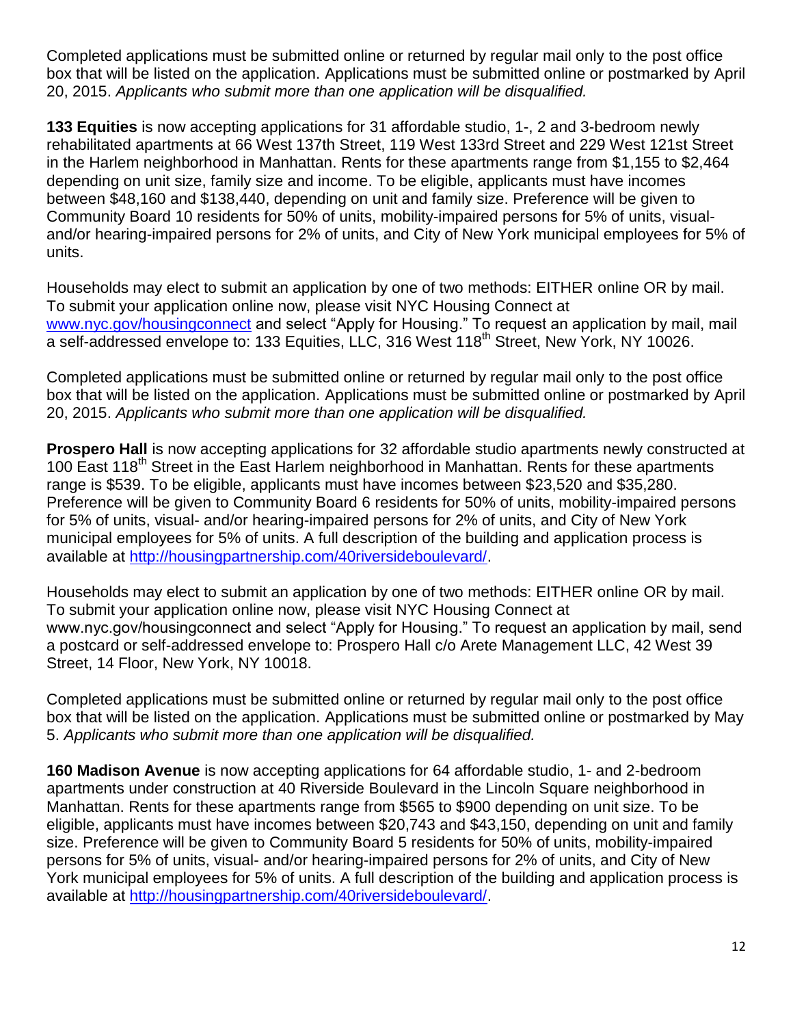Completed applications must be submitted online or returned by regular mail only to the post office box that will be listed on the application. Applications must be submitted online or postmarked by April 20, 2015. *Applicants who submit more than one application will be disqualified.*

**133 Equities** is now accepting applications for 31 affordable studio, 1-, 2 and 3-bedroom newly rehabilitated apartments at 66 West 137th Street, 119 West 133rd Street and 229 West 121st Street in the Harlem neighborhood in Manhattan. Rents for these apartments range from \$1,155 to \$2,464 depending on unit size, family size and income. To be eligible, applicants must have incomes between \$48,160 and \$138,440, depending on unit and family size. Preference will be given to Community Board 10 residents for 50% of units, mobility-impaired persons for 5% of units, visualand/or hearing-impaired persons for 2% of units, and City of New York municipal employees for 5% of units.

Households may elect to submit an application by one of two methods: EITHER online OR by mail. To submit your application online now, please visit NYC Housing Connect at [www.nyc.gov/housingconnect](http://www.nyc.gov/housingconnect) and select "Apply for Housing." To request an application by mail, mail a self-addressed envelope to: 133 Equities, LLC, 316 West 118<sup>th</sup> Street, New York, NY 10026.

Completed applications must be submitted online or returned by regular mail only to the post office box that will be listed on the application. Applications must be submitted online or postmarked by April 20, 2015. *Applicants who submit more than one application will be disqualified.*

**Prospero Hall** is now accepting applications for 32 affordable studio apartments newly constructed at 100 East 118<sup>th</sup> Street in the East Harlem neighborhood in Manhattan. Rents for these apartments range is \$539. To be eligible, applicants must have incomes between \$23,520 and \$35,280. Preference will be given to Community Board 6 residents for 50% of units, mobility-impaired persons for 5% of units, visual- and/or hearing-impaired persons for 2% of units, and City of New York municipal employees for 5% of units. A full description of the building and application process is available at [http://housingpartnership.com/40riversideboulevard/.](http://housingpartnership.com/40riversideboulevard/)

Households may elect to submit an application by one of two methods: EITHER online OR by mail. To submit your application online now, please visit NYC Housing Connect at www.nyc.gov/housingconnect and select "Apply for Housing." To request an application by mail, send a postcard or self-addressed envelope to: Prospero Hall c/o Arete Management LLC, 42 West 39 Street, 14 Floor, New York, NY 10018.

Completed applications must be submitted online or returned by regular mail only to the post office box that will be listed on the application. Applications must be submitted online or postmarked by May 5. *Applicants who submit more than one application will be disqualified.*

**160 Madison Avenue** is now accepting applications for 64 affordable studio, 1- and 2-bedroom apartments under construction at 40 Riverside Boulevard in the Lincoln Square neighborhood in Manhattan. Rents for these apartments range from \$565 to \$900 depending on unit size. To be eligible, applicants must have incomes between \$20,743 and \$43,150, depending on unit and family size. Preference will be given to Community Board 5 residents for 50% of units, mobility-impaired persons for 5% of units, visual- and/or hearing-impaired persons for 2% of units, and City of New York municipal employees for 5% of units. A full description of the building and application process is available at [http://housingpartnership.com/40riversideboulevard/.](http://housingpartnership.com/40riversideboulevard/)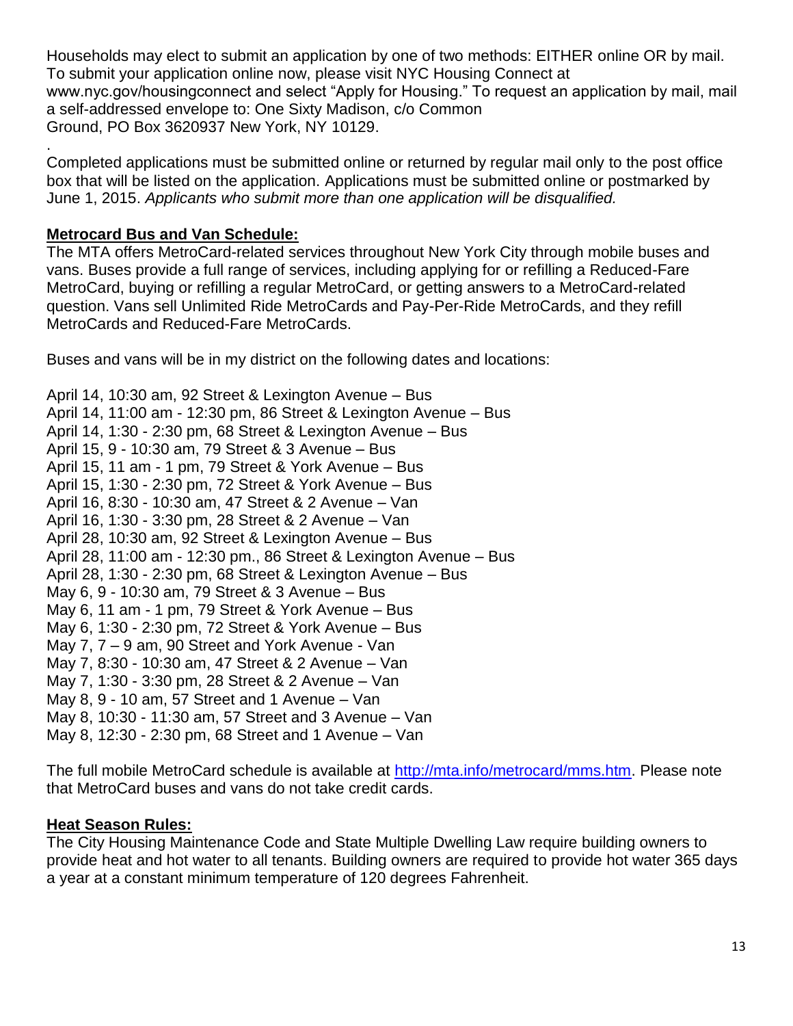Households may elect to submit an application by one of two methods: EITHER online OR by mail. To submit your application online now, please visit NYC Housing Connect at www.nyc.gov/housingconnect and select "Apply for Housing." To request an application by mail, mail a self-addressed envelope to: One Sixty Madison, c/o Common Ground, PO Box 3620937 New York, NY 10129.

Completed applications must be submitted online or returned by regular mail only to the post office box that will be listed on the application. Applications must be submitted online or postmarked by June 1, 2015. *Applicants who submit more than one application will be disqualified.*

## **Metrocard Bus and Van Schedule:**

.

The MTA offers MetroCard-related services throughout New York City through mobile buses and vans. Buses provide a full range of services, including applying for or refilling a Reduced-Fare MetroCard, buying or refilling a regular MetroCard, or getting answers to a MetroCard-related question. Vans sell Unlimited Ride MetroCards and Pay-Per-Ride MetroCards, and they refill MetroCards and Reduced-Fare MetroCards.

Buses and vans will be in my district on the following dates and locations:

April 14, 10:30 am, 92 Street & Lexington Avenue – Bus April 14, 11:00 am - 12:30 pm, 86 Street & Lexington Avenue – Bus April 14, 1:30 - 2:30 pm, 68 Street & Lexington Avenue – Bus April 15, 9 - 10:30 am, 79 Street & 3 Avenue – Bus April 15, 11 am - 1 pm, 79 Street & York Avenue – Bus April 15, 1:30 - 2:30 pm, 72 Street & York Avenue – Bus April 16, 8:30 - 10:30 am, 47 Street & 2 Avenue – Van April 16, 1:30 - 3:30 pm, 28 Street & 2 Avenue – Van April 28, 10:30 am, 92 Street & Lexington Avenue – Bus April 28, 11:00 am - 12:30 pm., 86 Street & Lexington Avenue – Bus April 28, 1:30 - 2:30 pm, 68 Street & Lexington Avenue – Bus May 6, 9 - 10:30 am, 79 Street & 3 Avenue – Bus May 6, 11 am - 1 pm, 79 Street & York Avenue – Bus May 6, 1:30 - 2:30 pm, 72 Street & York Avenue – Bus May 7, 7 – 9 am, 90 Street and York Avenue - Van May 7, 8:30 - 10:30 am, 47 Street & 2 Avenue – Van May 7, 1:30 - 3:30 pm, 28 Street & 2 Avenue – Van May 8, 9 - 10 am, 57 Street and 1 Avenue – Van May 8, 10:30 - 11:30 am, 57 Street and 3 Avenue – Van May 8, 12:30 - 2:30 pm, 68 Street and 1 Avenue – Van

The full mobile MetroCard schedule is available at [http://mta.info/metrocard/mms.htm.](http://mta.info/metrocard/mms.htm) Please note that MetroCard buses and vans do not take credit cards.

#### **Heat Season Rules:**

The City Housing Maintenance Code and State Multiple Dwelling Law require building owners to provide heat and hot water to all tenants. Building owners are required to provide hot water 365 days a year at a constant minimum temperature of 120 degrees Fahrenheit.